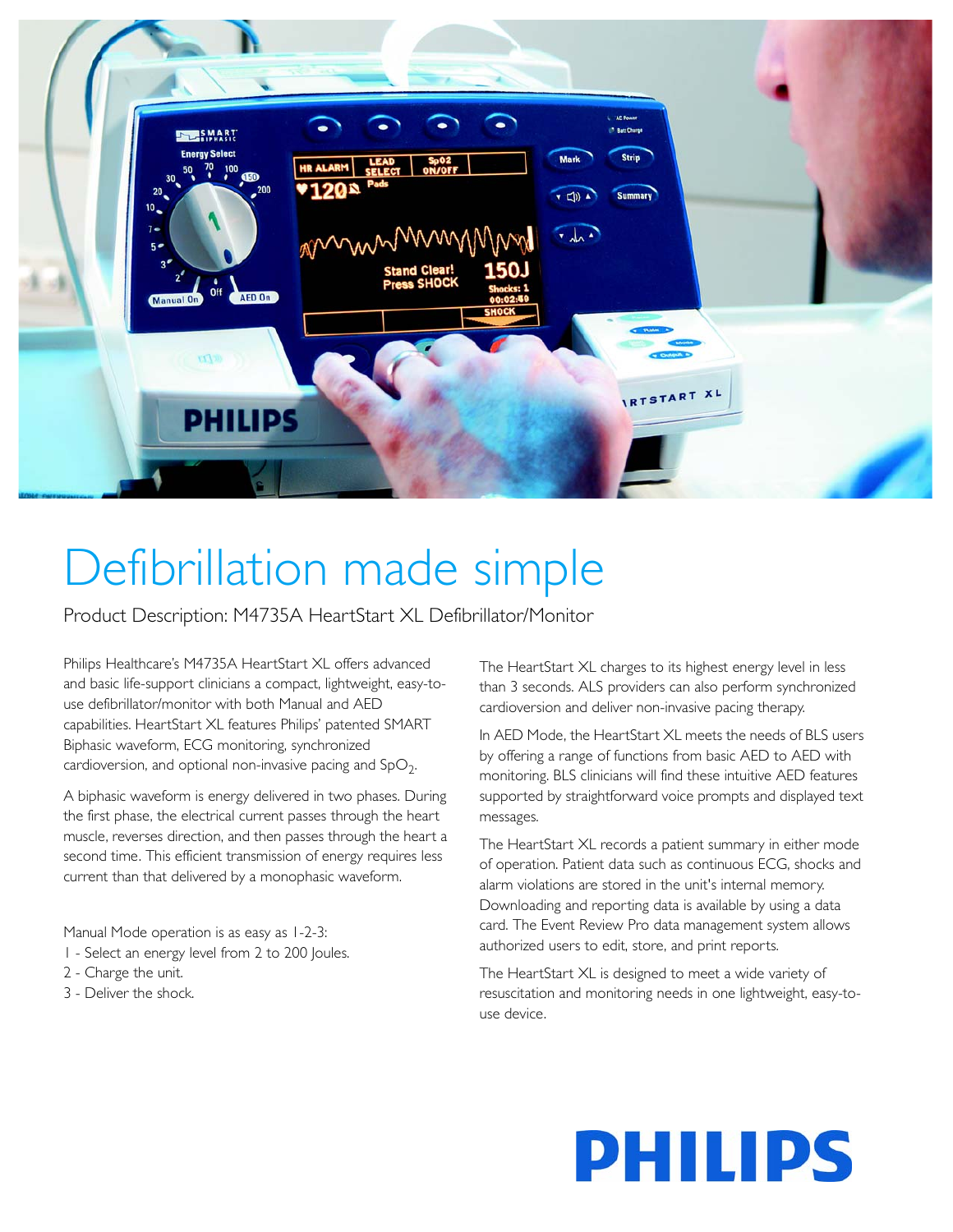

# Defibrillation made simple

Product Description: M4735A HeartStart XL Defibrillator/Monitor

Philips Healthcare's M4735A HeartStart XL offers advanced and basic life-support clinicians a compact, lightweight, easy-touse defibrillator/monitor with both Manual and AED capabilities. HeartStart XL features Philips' patented SMART Biphasic waveform, ECG monitoring, synchronized cardioversion, and optional non-invasive pacing and  $SpO<sub>2</sub>$ .

A biphasic waveform is energy delivered in two phases. During the first phase, the electrical current passes through the heart muscle, reverses direction, and then passes through the heart a second time. This efficient transmission of energy requires less current than that delivered by a monophasic waveform.

Manual Mode operation is as easy as 1-2-3:

- 1 Select an energy level from 2 to 200 Joules.
- 2 Charge the unit.
- 3 Deliver the shock.

The HeartStart XL charges to its highest energy level in less than 3 seconds. ALS providers can also perform synchronized cardioversion and deliver non-invasive pacing therapy.

In AED Mode, the HeartStart XL meets the needs of BLS users by offering a range of functions from basic AED to AED with monitoring. BLS clinicians will find these intuitive AED features supported by straightforward voice prompts and displayed text messages.

The HeartStart XL records a patient summary in either mode of operation. Patient data such as continuous ECG, shocks and alarm violations are stored in the unit's internal memory. Downloading and reporting data is available by using a data card. The Event Review Pro data management system allows authorized users to edit, store, and print reports.

The HeartStart XL is designed to meet a wide variety of resuscitation and monitoring needs in one lightweight, easy-touse device.

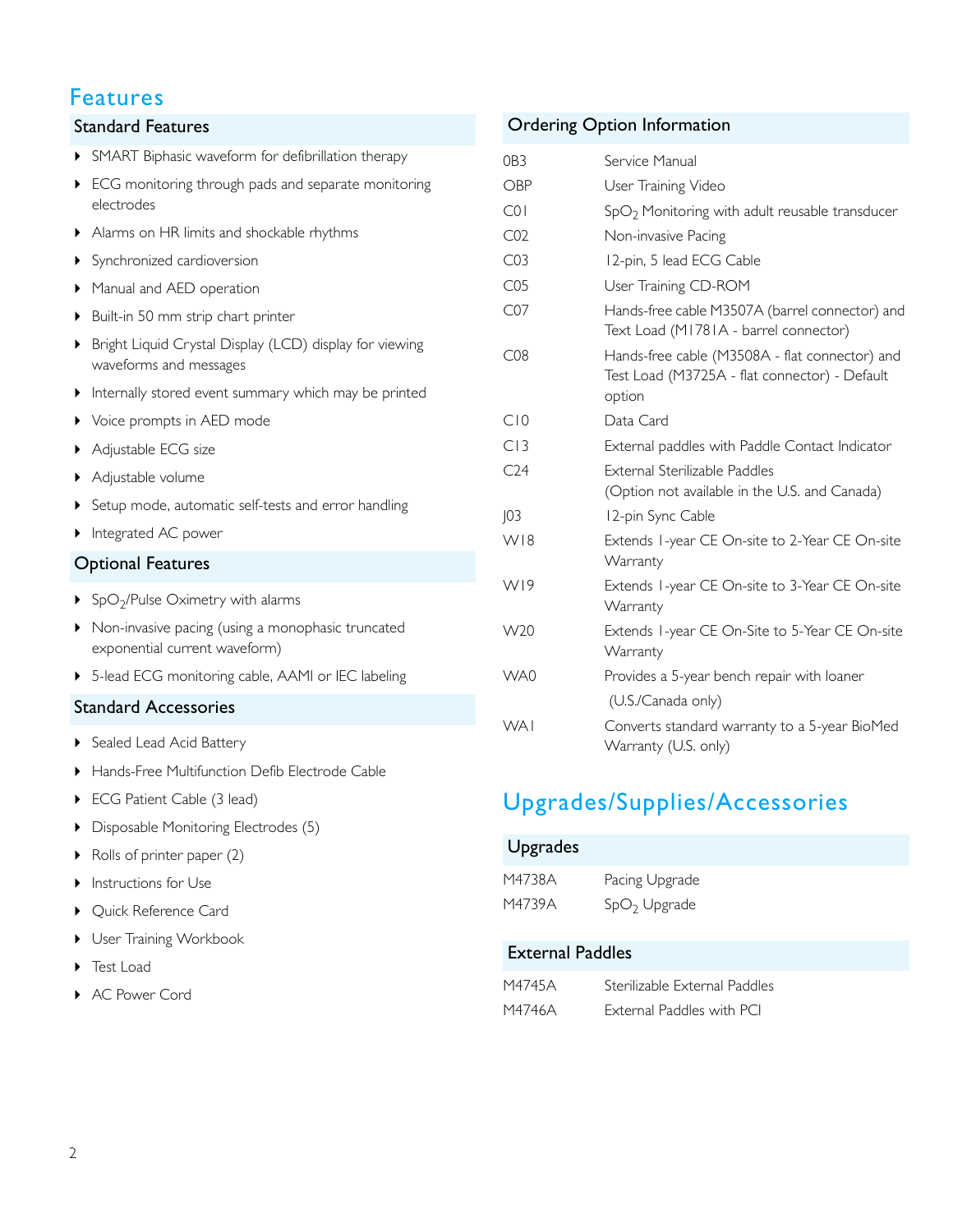## Features

# SMART Biphasic waveform for defibrillation therapy ECG monitoring through pads and separate monitoring electrodes Alarms on HR limits and shockable rhythms Synchronized cardioversion Manual and AED operation ▶ Built-in 50 mm strip chart printer Bright Liquid Crystal Display (LCD) display for viewing waveforms and messages Internally stored event summary which may be printed ▶ Voice prompts in AED mode ▶ Adjustable ECG size Adjustable volume Setup mode, automatic self-tests and error handling Integrated AC power  $\triangleright$  SpO<sub>2</sub>/Pulse Oximetry with alarms Non-invasive pacing (using a monophasic truncated exponential current waveform) 5-lead ECG monitoring cable, AAMI or IEC labeling Standard Features Optional Features

#### Standard Accessories

- ▶ Sealed Lead Acid Battery
- Hands-Free Multifunction Defib Electrode Cable
- ▶ ECG Patient Cable (3 lead)
- Disposable Monitoring Electrodes (5)
- $\triangleright$  Rolls of printer paper (2)
- **Instructions for Use**
- ▶ Quick Reference Card
- ▶ User Training Workbook
- ▶ Test Load
- AC Power Cord

#### Ordering Option Information

| OB <sub>3</sub> | Service Manual                                                                                            |
|-----------------|-----------------------------------------------------------------------------------------------------------|
| OBP             | User Training Video                                                                                       |
| COI             | $SpO2$ Monitoring with adult reusable transducer                                                          |
| CO <sub>2</sub> | Non-invasive Pacing                                                                                       |
| CO <sub>3</sub> | 12-pin, 5 lead ECG Cable                                                                                  |
| CO <sub>5</sub> | User Training CD-ROM                                                                                      |
| CO7             | Hands-free cable M3507A (barrel connector) and<br>Text Load (M1781A - barrel connector)                   |
| CO8             | Hands-free cable (M3508A - flat connector) and<br>Test Load (M3725A - flat connector) - Default<br>option |
| C10             | Data Card                                                                                                 |
| CI3             | External paddles with Paddle Contact Indicator                                                            |
| C <sub>24</sub> | External Sterilizable Paddles                                                                             |
|                 | (Option not available in the U.S. and Canada)                                                             |
| 103             | 12-pin Sync Cable                                                                                         |
| W18             | Extends 1-year CE On-site to 2-Year CE On-site<br>Warranty                                                |
| WI9             | Extends 1-year CE On-site to 3-Year CE On-site<br>Warranty                                                |
| W20             | Extends I-year CE On-Site to 5-Year CE On-site<br>Warranty                                                |
| WA0             | Provides a 5-year bench repair with loaner                                                                |
|                 | (U.S./Canada only)                                                                                        |
| <b>WAI</b>      | Converts standard warranty to a 5-year BioMed<br>Warranty (U.S. only)                                     |

# Upgrades/Supplies/Accessories

| <b>Upgrades</b>         |                |  |  |
|-------------------------|----------------|--|--|
| M4738A                  | Pacing Upgrade |  |  |
| M4739A                  | $SpO2$ Upgrade |  |  |
| <b>External Paddles</b> |                |  |  |

| M4745A | Sterilizable External Paddles |
|--------|-------------------------------|
| M4746A | External Paddles with PCI     |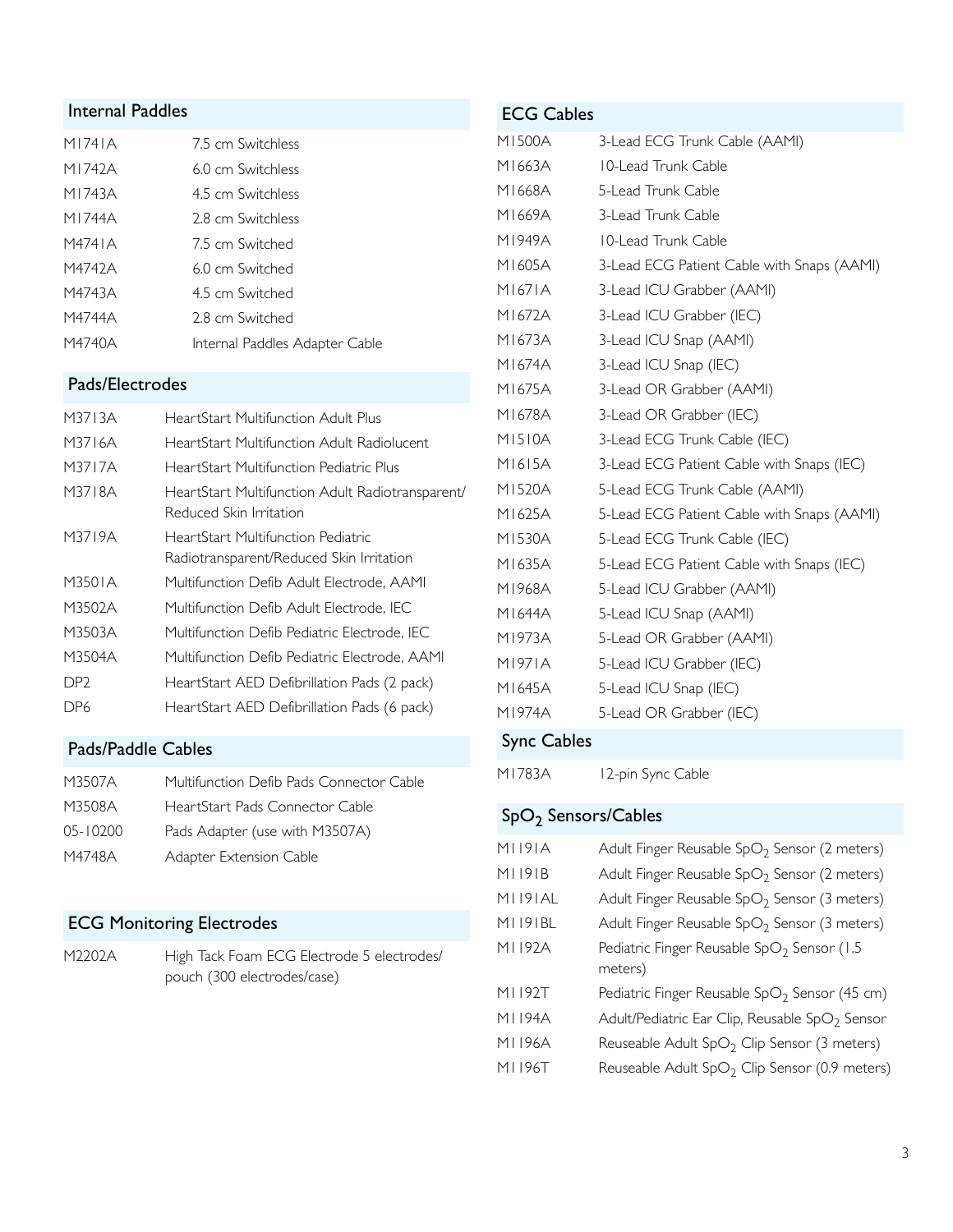### Internal Paddles

| M1741A | 7.5 cm Switchless              |
|--------|--------------------------------|
| M1742A | 6.0 cm Switchless              |
| M1743A | 4.5 cm Switchless              |
| M1744A | 2.8 cm Switchless              |
| M4741A | 7.5 cm Switched                |
| M4742A | 6.0 cm Switched                |
| M4743A | 4.5 cm Switched                |
| M4744A | 2.8 cm Switched                |
| M4740A | Internal Paddles Adapter Cable |

#### Pads/Electrodes

| M3713A          | HeartStart Multifunction Adult Plus                                            |
|-----------------|--------------------------------------------------------------------------------|
| M3716A          | HeartStart Multifunction Adult Radiolucent                                     |
| M3717A          | HeartStart Multifunction Pediatric Plus                                        |
| M3718A          | HeartStart Multifunction Adult Radiotransparent/<br>Reduced Skin Irritation    |
| M3719A          | HeartStart Multifunction Pediatric<br>Radiotransparent/Reduced Skin Irritation |
| M3501A          | Multifunction Defib Adult Electrode, AAMI                                      |
| M3502A          | Multifunction Defib Adult Electrode, IEC                                       |
| M3503A          | Multifunction Defib Pediatric Electrode, IEC                                   |
| M3504A          | Multifunction Defib Pediatric Electrode, AAMI                                  |
| DP <sub>2</sub> | HeartStart AED Defibrillation Pads (2 pack)                                    |
| DP6             | HeartStart AED Defibrillation Pads (6 pack)                                    |

#### Pads/Paddle Cables

| Multifunction Defib Pads Connector Cable |
|------------------------------------------|
| HeartStart Pads Connector Cable          |
| Pads Adapter (use with M3507A)           |
| Adapter Extension Cable                  |
|                                          |

## ECG Monitoring Electrodes

M2202A High Tack Foam ECG Electrode 5 electrodes/ pouch (300 electrodes/case)

| <b>ECG Cables</b> |                                            |
|-------------------|--------------------------------------------|
| M1500A            | 3-Lead ECG Trunk Cable (AAMI)              |
| M1663A            | 10-Lead Trunk Cable                        |
| M1668A            | 5-Lead Trunk Cable                         |
| M1669A            | 3-Lead Trunk Cable                         |
| M1949A            | 10-Lead Trunk Cable                        |
| M1605A            | 3-Lead ECG Patient Cable with Snaps (AAMI) |
| M1671A            | 3-Lead ICU Grabber (AAMI)                  |
| M1672A            | 3-Lead ICU Grabber (IEC)                   |
| M1673A            | 3-Lead ICU Snap (AAMI)                     |
| M1674A            | 3-Lead ICU Snap (IEC)                      |
| M1675A            | 3-Lead OR Grabber (AAMI)                   |
| M1678A            | 3-Lead OR Grabber (IEC)                    |
| M1510A            | 3-Lead ECG Trunk Cable (IEC)               |
| M1615A            | 3-Lead ECG Patient Cable with Snaps (IEC)  |
| M1520A            | 5-Lead ECG Trunk Cable (AAMI)              |
| M1625A            | 5-Lead ECG Patient Cable with Snaps (AAMI) |
| M1530A            | 5-Lead ECG Trunk Cable (IEC)               |
| M1635A            | 5-Lead ECG Patient Cable with Snaps (IEC)  |
| M1968A            | 5-Lead ICU Grabber (AAMI)                  |
| M1644A            | 5-Lead ICU Snap (AAMI)                     |
| M1973A            | 5-Lead OR Grabber (AAMI)                   |
| M1971A            | 5-Lead ICU Grabber (IEC)                   |
| M1645A            | 5-Lead ICU Snap (IEC)                      |
| M1974A            | 5-Lead OR Grabber (IEC)                    |
| $Sune$ Cablos     |                                            |

# Sync Cables

M1783A 12-pin Sync Cable

## SpO<sub>2</sub> Sensors/Cables

| MI 191A         | Adult Finger Reusable $SpO2$ Sensor (2 meters)             |
|-----------------|------------------------------------------------------------|
| M1191B          | Adult Finger Reusable $SpO2$ Sensor (2 meters)             |
| MI 191 AL       | Adult Finger Reusable $SpO2$ Sensor (3 meters)             |
| <b>MI 191BL</b> | Adult Finger Reusable SpO <sub>2</sub> Sensor (3 meters)   |
| M1192A          | Pediatric Finger Reusable SpO <sub>2</sub> Sensor (1.5     |
|                 | meters)                                                    |
| MI 192T         | Pediatric Finger Reusable $SpO2$ Sensor (45 cm)            |
| MI 194A         | Adult/Pediatric Ear Clip, Reusable SpO <sub>2</sub> Sensor |
| MI 196A         | Reuseable Adult $SpO2$ Clip Sensor (3 meters)              |
| MI 196T         | Reuseable Adult SpO <sub>2</sub> Clip Sensor (0.9 meters)  |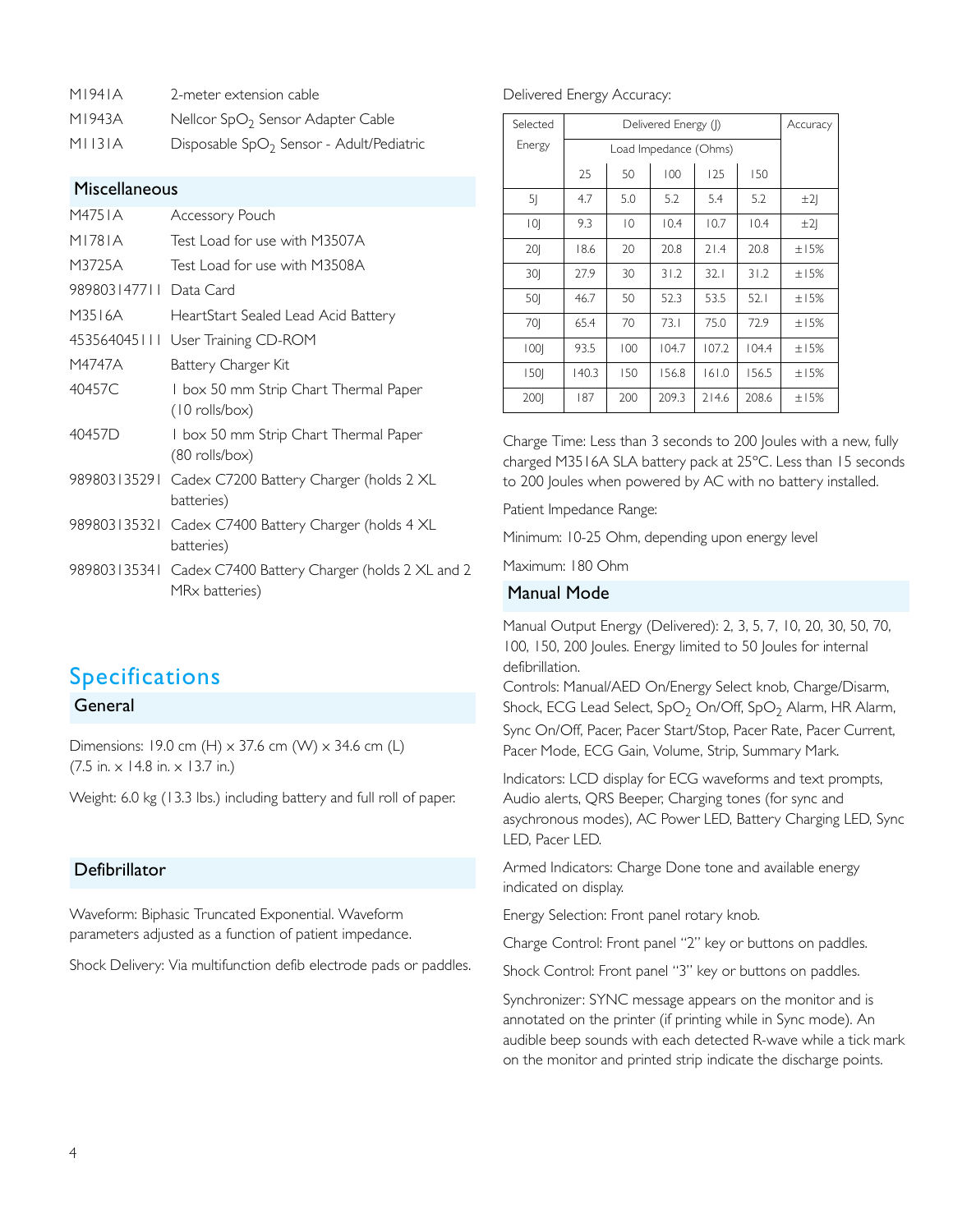| M1941A<br>2-meter extension cable |  |
|-----------------------------------|--|
|-----------------------------------|--|

M1943A Nellcor SpO<sub>2</sub> Sensor Adapter Cable

#### Miscellaneous

| M4751A                 | Accessory Pouch                                                              |
|------------------------|------------------------------------------------------------------------------|
| M1781A                 | Test Load for use with M3507A                                                |
| M3725A                 | Test Load for use with M3508A                                                |
| 989803147711 Data Card |                                                                              |
| M3516A                 | HeartStart Sealed Lead Acid Battery                                          |
|                        | 453564045111 User Training CD-ROM                                            |
| M4747A                 | Battery Charger Kit                                                          |
| 40457C                 | 1 box 50 mm Strip Chart Thermal Paper<br>$(10 \text{ rolls/box})$            |
| 40457D                 | 1 box 50 mm Strip Chart Thermal Paper<br>$(80$ rolls/box)                    |
| 989803135291           | Cadex C7200 Battery Charger (holds 2 XL<br>batteries)                        |
|                        | 989803135321 Cadex C7400 Battery Charger (holds 4 XL<br>batteries)           |
|                        | 989803135341 Cadex C7400 Battery Charger (holds 2 XL and 2<br>MRx batteries) |

## Specifications

#### General

Dimensions: 19.0 cm (H) x 37.6 cm (W) x 34.6 cm (L) (7.5 in. x 14.8 in. x 13.7 in.)

Weight: 6.0 kg (13.3 lbs.) including battery and full roll of paper.

#### Defibrillator

Waveform: Biphasic Truncated Exponential. Waveform parameters adjusted as a function of patient impedance.

Shock Delivery: Via multifunction defib electrode pads or paddles.

#### Delivered Energy Accuracy:

| Selected       | Delivered Energy ( ) |                       |       |       | Accuracy |        |
|----------------|----------------------|-----------------------|-------|-------|----------|--------|
| Energy         |                      | Load Impedance (Ohms) |       |       |          |        |
|                | 25                   | 50                    | 100   | 125   | 150      |        |
| 5 <sub>l</sub> | 4.7                  | 5.0                   | 5.2   | 5.4   | 5.2      | ±2     |
| 0              | 9.3                  | $ 0\rangle$           | 10.4  | 10.7  | 10.4     | ±2     |
| 201            | 18.6                 | 20                    | 20.8  | 71.4  | 20.8     | $+15%$ |
| 30             | 27.9                 | 30                    | 31.2  | 32.1  | 31.2     | ±15%   |
| 50             | 46.7                 | 50                    | 52.3  | 53.5  | 52.1     | $+15%$ |
| 70             | 65.4                 | 70                    | 73.1  | 75.0  | 72.9     | ±15%   |
| 1001           | 93.5                 | 100                   | 104.7 | 107.2 | 104.4    | ±15%   |
| 1501           | 140.3                | 150                   | 156.8 | 161.0 | 156.5    | ±15%   |
| 2001           | 187                  | 200                   | 209.3 | 714.6 | 208.6    | ±15%   |

Charge Time: Less than 3 seconds to 200 Joules with a new, fully charged M3516A SLA battery pack at 25ºC. Less than 15 seconds to 200 Joules when powered by AC with no battery installed.

Patient Impedance Range:

Minimum: 10-25 Ohm, depending upon energy level

Maximum: 180 Ohm

#### Manual Mode

Manual Output Energy (Delivered): 2, 3, 5, 7, 10, 20, 30, 50, 70, 100, 150, 200 Joules. Energy limited to 50 Joules for internal defibrillation.

Controls: Manual/AED On/Energy Select knob, Charge/Disarm, Shock, ECG Lead Select, SpO<sub>2</sub> On/Off, SpO<sub>2</sub> Alarm, HR Alarm, Sync On/Off, Pacer, Pacer Start/Stop, Pacer Rate, Pacer Current, Pacer Mode, ECG Gain, Volume, Strip, Summary Mark.

Indicators: LCD display for ECG waveforms and text prompts, Audio alerts, QRS Beeper, Charging tones (for sync and asychronous modes), AC Power LED, Battery Charging LED, Sync LED, Pacer LED.

Armed Indicators: Charge Done tone and available energy indicated on display.

Energy Selection: Front panel rotary knob.

Charge Control: Front panel "2" key or buttons on paddles.

Shock Control: Front panel "3" key or buttons on paddles.

Synchronizer: SYNC message appears on the monitor and is annotated on the printer (if printing while in Sync mode). An audible beep sounds with each detected R-wave while a tick mark on the monitor and printed strip indicate the discharge points.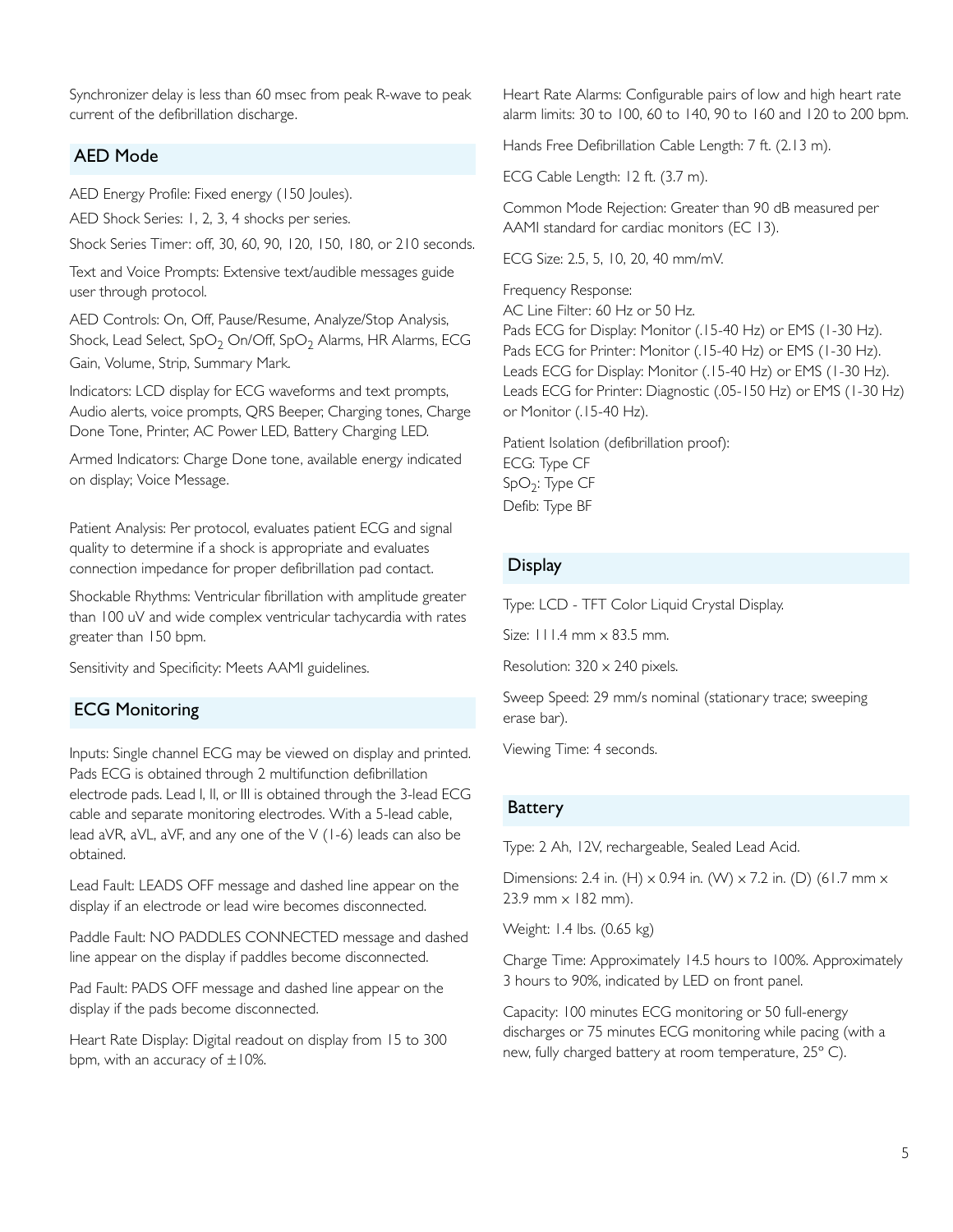Synchronizer delay is less than 60 msec from peak R-wave to peak current of the defibrillation discharge.

#### AED Mode

AED Energy Profile: Fixed energy (150 Joules).

AED Shock Series: 1, 2, 3, 4 shocks per series.

Shock Series Timer: off, 30, 60, 90, 120, 150, 180, or 210 seconds.

Text and Voice Prompts: Extensive text/audible messages guide user through protocol.

AED Controls: On, Off, Pause/Resume, Analyze/Stop Analysis, Shock, Lead Select,  $SpO<sub>2</sub>$  On/Off,  $SpO<sub>2</sub>$  Alarms, HR Alarms, ECG Gain, Volume, Strip, Summary Mark.

Indicators: LCD display for ECG waveforms and text prompts, Audio alerts, voice prompts, QRS Beeper, Charging tones, Charge Done Tone, Printer, AC Power LED, Battery Charging LED.

Armed Indicators: Charge Done tone, available energy indicated on display; Voice Message.

Patient Analysis: Per protocol, evaluates patient ECG and signal quality to determine if a shock is appropriate and evaluates connection impedance for proper defibrillation pad contact.

Shockable Rhythms: Ventricular fibrillation with amplitude greater than 100 uV and wide complex ventricular tachycardia with rates greater than 150 bpm.

Sensitivity and Specificity: Meets AAMI guidelines.

#### ECG Monitoring

Inputs: Single channel ECG may be viewed on display and printed. Pads ECG is obtained through 2 multifunction defibrillation electrode pads. Lead I, II, or III is obtained through the 3-lead ECG cable and separate monitoring electrodes. With a 5-lead cable, lead aVR, aVL, aVF, and any one of the V (1-6) leads can also be obtained.

Lead Fault: LEADS OFF message and dashed line appear on the display if an electrode or lead wire becomes disconnected.

Paddle Fault: NO PADDLES CONNECTED message and dashed line appear on the display if paddles become disconnected.

Pad Fault: PADS OFF message and dashed line appear on the display if the pads become disconnected.

Heart Rate Display: Digital readout on display from 15 to 300 bpm, with an accuracy of  $\pm 10\%$ .

Heart Rate Alarms: Configurable pairs of low and high heart rate alarm limits: 30 to 100, 60 to 140, 90 to 160 and 120 to 200 bpm.

Hands Free Defibrillation Cable Length: 7 ft. (2.13 m).

ECG Cable Length: 12 ft. (3.7 m).

Common Mode Rejection: Greater than 90 dB measured per AAMI standard for cardiac monitors (EC 13).

ECG Size: 2.5, 5, 10, 20, 40 mm/mV.

Frequency Response: AC Line Filter: 60 Hz or 50 Hz. Pads ECG for Display: Monitor (.15-40 Hz) or EMS (1-30 Hz). Pads ECG for Printer: Monitor (.15-40 Hz) or EMS (1-30 Hz). Leads ECG for Display: Monitor (.15-40 Hz) or EMS (1-30 Hz). Leads ECG for Printer: Diagnostic (.05-150 Hz) or EMS (1-30 Hz) or Monitor (.15-40 Hz).

Patient Isolation (defibrillation proof): ECG: Type CF  $SpO<sub>2</sub>: Type CF$ Defib: Type BF

#### **Display**

Type: LCD - TFT Color Liquid Crystal Display.

Size: 111.4 mm x 83.5 mm.

Resolution:  $320 \times 240$  pixels.

Sweep Speed: 29 mm/s nominal (stationary trace; sweeping erase bar).

Viewing Time: 4 seconds.

#### Battery

Type: 2 Ah, 12V, rechargeable, Sealed Lead Acid.

Dimensions: 2.4 in. (H)  $\times$  0.94 in. (W)  $\times$  7.2 in. (D) (61.7 mm  $\times$ 23.9 mm x 182 mm).

Weight: 1.4 lbs. (0.65 kg)

Charge Time: Approximately 14.5 hours to 100%. Approximately 3 hours to 90%, indicated by LED on front panel.

Capacity: 100 minutes ECG monitoring or 50 full-energy discharges or 75 minutes ECG monitoring while pacing (with a new, fully charged battery at room temperature, 25º C).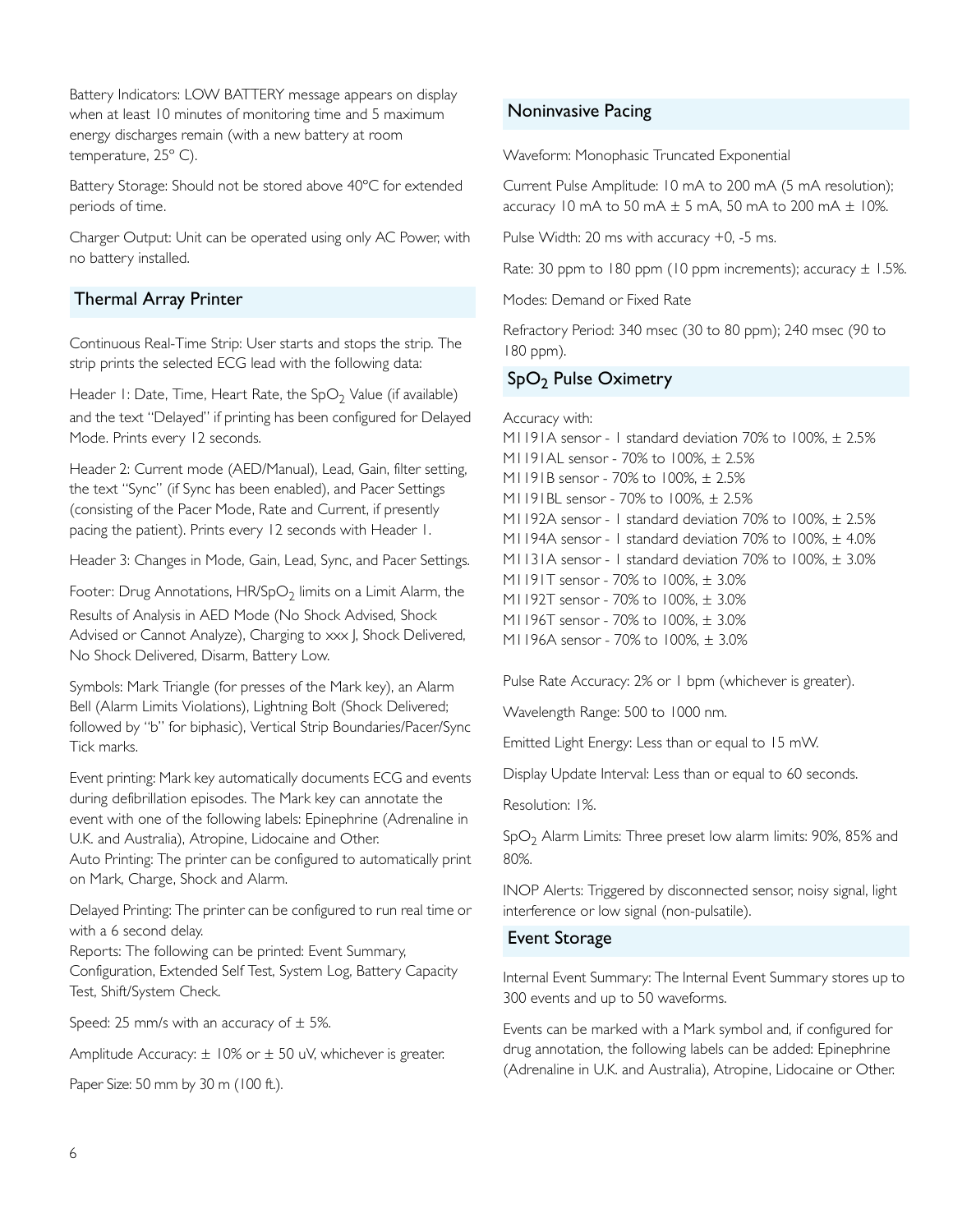Battery Indicators: LOW BATTERY message appears on display when at least 10 minutes of monitoring time and 5 maximum energy discharges remain (with a new battery at room temperature, 25º C).

Battery Storage: Should not be stored above 40ºC for extended periods of time.

Charger Output: Unit can be operated using only AC Power, with no battery installed.

#### Thermal Array Printer

Continuous Real-Time Strip: User starts and stops the strip. The strip prints the selected ECG lead with the following data:

Header 1: Date, Time, Heart Rate, the  $SpO<sub>2</sub>$  Value (if available) and the text "Delayed" if printing has been configured for Delayed Mode. Prints every 12 seconds.

Header 2: Current mode (AED/Manual), Lead, Gain, filter setting, the text "Sync" (if Sync has been enabled), and Pacer Settings (consisting of the Pacer Mode, Rate and Current, if presently pacing the patient). Prints every 12 seconds with Header 1.

Header 3: Changes in Mode, Gain, Lead, Sync, and Pacer Settings.

Footer: Drug Annotations,  $HR/SpO<sub>2</sub>$  limits on a Limit Alarm, the Results of Analysis in AED Mode (No Shock Advised, Shock Advised or Cannot Analyze), Charging to xxx |, Shock Delivered, No Shock Delivered, Disarm, Battery Low.

Symbols: Mark Triangle (for presses of the Mark key), an Alarm Bell (Alarm Limits Violations), Lightning Bolt (Shock Delivered; followed by "b" for biphasic), Vertical Strip Boundaries/Pacer/Sync Tick marks.

Event printing: Mark key automatically documents ECG and events during defibrillation episodes. The Mark key can annotate the event with one of the following labels: Epinephrine (Adrenaline in U.K. and Australia), Atropine, Lidocaine and Other.

Auto Printing: The printer can be configured to automatically print on Mark, Charge, Shock and Alarm.

Delayed Printing: The printer can be configured to run real time or with a 6 second delay.

Reports: The following can be printed: Event Summary, Configuration, Extended Self Test, System Log, Battery Capacity Test, Shift/System Check.

Speed: 25 mm/s with an accuracy of  $\pm$  5%.

Amplitude Accuracy:  $\pm$  10% or  $\pm$  50 uV, whichever is greater.

Paper Size: 50 mm by 30 m (100 ft.).

#### Noninvasive Pacing

Waveform: Monophasic Truncated Exponential

Current Pulse Amplitude: 10 mA to 200 mA (5 mA resolution); accuracy 10 mA to 50 mA  $\pm$  5 mA, 50 mA to 200 mA  $\pm$  10%.

Pulse Width: 20 ms with accuracy +0, -5 ms.

Rate: 30 ppm to 180 ppm (10 ppm increments); accuracy  $\pm$  1.5%.

Modes: Demand or Fixed Rate

Refractory Period: 340 msec (30 to 80 ppm); 240 msec (90 to 180 ppm).

#### SpO<sub>2</sub> Pulse Oximetry

Accuracy with: M1191A sensor - 1 standard deviation 70% to 100%, ± 2.5% M1191AL sensor - 70% to 100%, ± 2.5% M1191B sensor - 70% to 100%, ± 2.5% M1191BL sensor - 70% to 100%, ± 2.5% M1192A sensor - 1 standard deviation 70% to 100%, ± 2.5% M1194A sensor - 1 standard deviation 70% to 100%, ± 4.0% M1131A sensor - 1 standard deviation 70% to 100%, ± 3.0% M1191T sensor - 70% to 100%, ± 3.0% M1192T sensor - 70% to 100%, ± 3.0% M1196T sensor - 70% to 100%, ± 3.0% M1196A sensor - 70% to 100%, ± 3.0%

Pulse Rate Accuracy: 2% or 1 bpm (whichever is greater).

Wavelength Range: 500 to 1000 nm.

Emitted Light Energy: Less than or equal to 15 mW.

Display Update Interval: Less than or equal to 60 seconds.

Resolution: 1%.

 $SpO<sub>2</sub>$  Alarm Limits: Three preset low alarm limits: 90%, 85% and 80%.

INOP Alerts: Triggered by disconnected sensor, noisy signal, light interference or low signal (non-pulsatile).

#### Event Storage

Internal Event Summary: The Internal Event Summary stores up to 300 events and up to 50 waveforms.

Events can be marked with a Mark symbol and, if configured for drug annotation, the following labels can be added: Epinephrine (Adrenaline in U.K. and Australia), Atropine, Lidocaine or Other.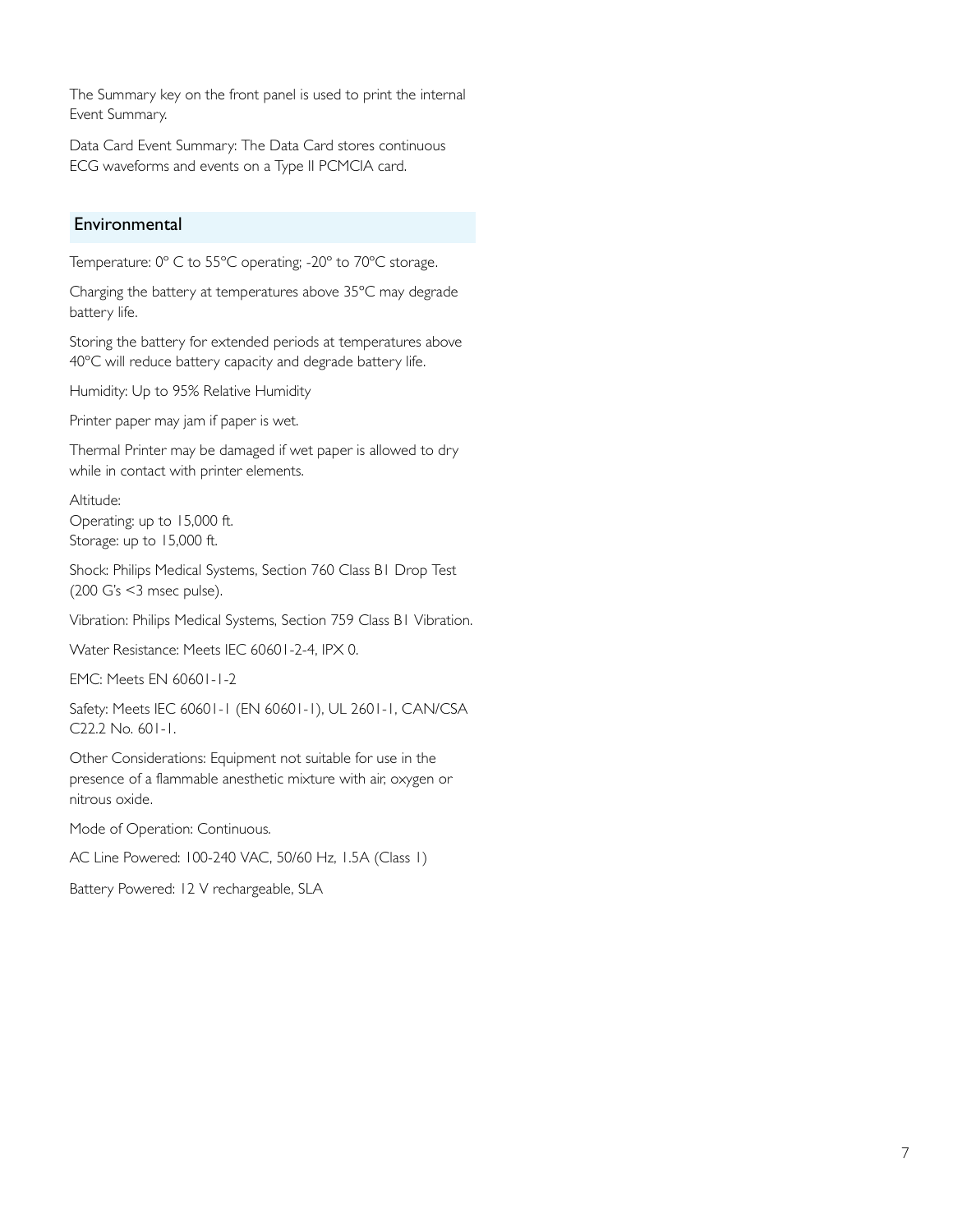The Summary key on the front panel is used to print the internal Event Summary.

Data Card Event Summary: The Data Card stores continuous ECG waveforms and events on a Type II PCMCIA card.

#### Environmental

Temperature: 0º C to 55ºC operating; -20º to 70ºC storage.

Charging the battery at temperatures above 35ºC may degrade battery life.

Storing the battery for extended periods at temperatures above 40ºC will reduce battery capacity and degrade battery life.

Humidity: Up to 95% Relative Humidity

Printer paper may jam if paper is wet.

Thermal Printer may be damaged if wet paper is allowed to dry while in contact with printer elements.

Altitude: Operating: up to 15,000 ft. Storage: up to 15,000 ft.

Shock: Philips Medical Systems, Section 760 Class B1 Drop Test (200 G's <3 msec pulse).

Vibration: Philips Medical Systems, Section 759 Class B1 Vibration.

Water Resistance: Meets IEC 60601-2-4, IPX 0.

EMC: Meets EN 60601-1-2

Safety: Meets IEC 60601-1 (EN 60601-1), UL 2601-1, CAN/CSA C22.2 No. 601-1.

Other Considerations: Equipment not suitable for use in the presence of a flammable anesthetic mixture with air, oxygen or nitrous oxide.

Mode of Operation: Continuous.

AC Line Powered: 100-240 VAC, 50/60 Hz, 1.5A (Class 1)

Battery Powered: 12 V rechargeable, SLA